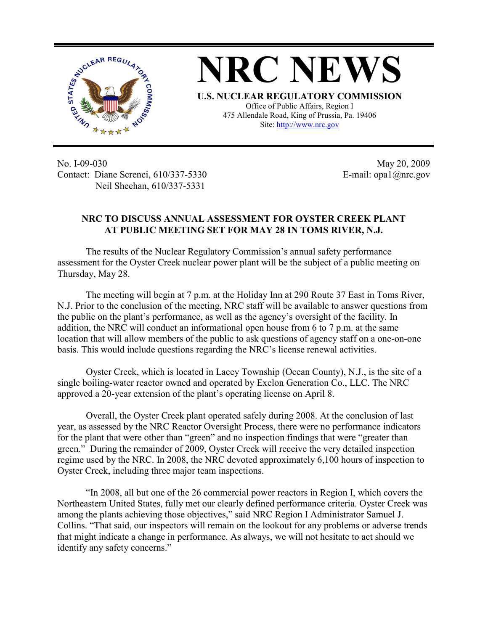

**NRC NEWS U.S. NUCLEAR REGULATORY COMMISSION** Office of Public Affairs, Region I 475 Allendale Road, King of Prussia, Pa. 19406

Site: http://www.nrc.gov

No. I-09-030 Contact: Diane Screnci, 610/337-5330 Neil Sheehan, 610/337-5331

May 20, 2009 E-mail: opa1@nrc.gov

## **NRC TO DISCUSS ANNUAL ASSESSMENT FOR OYSTER CREEK PLANT AT PUBLIC MEETING SET FOR MAY 28 IN TOMS RIVER, N.J.**

The results of the Nuclear Regulatory Commission's annual safety performance assessment for the Oyster Creek nuclear power plant will be the subject of a public meeting on Thursday, May 28.

The meeting will begin at 7 p.m. at the Holiday Inn at 290 Route 37 East in Toms River, N.J. Prior to the conclusion of the meeting, NRC staff will be available to answer questions from the public on the plant's performance, as well as the agency's oversight of the facility. In addition, the NRC will conduct an informational open house from 6 to 7 p.m. at the same location that will allow members of the public to ask questions of agency staff on a one-on-one basis. This would include questions regarding the NRC's license renewal activities.

Oyster Creek, which is located in Lacey Township (Ocean County), N.J., is the site of a single boiling-water reactor owned and operated by Exelon Generation Co., LLC. The NRC approved a 20-year extension of the plant's operating license on April 8.

Overall, the Oyster Creek plant operated safely during 2008. At the conclusion of last year, as assessed by the NRC Reactor Oversight Process, there were no performance indicators for the plant that were other than "green" and no inspection findings that were "greater than green." During the remainder of 2009, Oyster Creek will receive the very detailed inspection regime used by the NRC. In 2008, the NRC devoted approximately 6,100 hours of inspection to Oyster Creek, including three major team inspections.

"In 2008, all but one of the 26 commercial power reactors in Region I, which covers the Northeastern United States, fully met our clearly defined performance criteria. Oyster Creek was among the plants achieving those objectives," said NRC Region I Administrator Samuel J. Collins. "That said, our inspectors will remain on the lookout for any problems or adverse trends that might indicate a change in performance. As always, we will not hesitate to act should we identify any safety concerns."